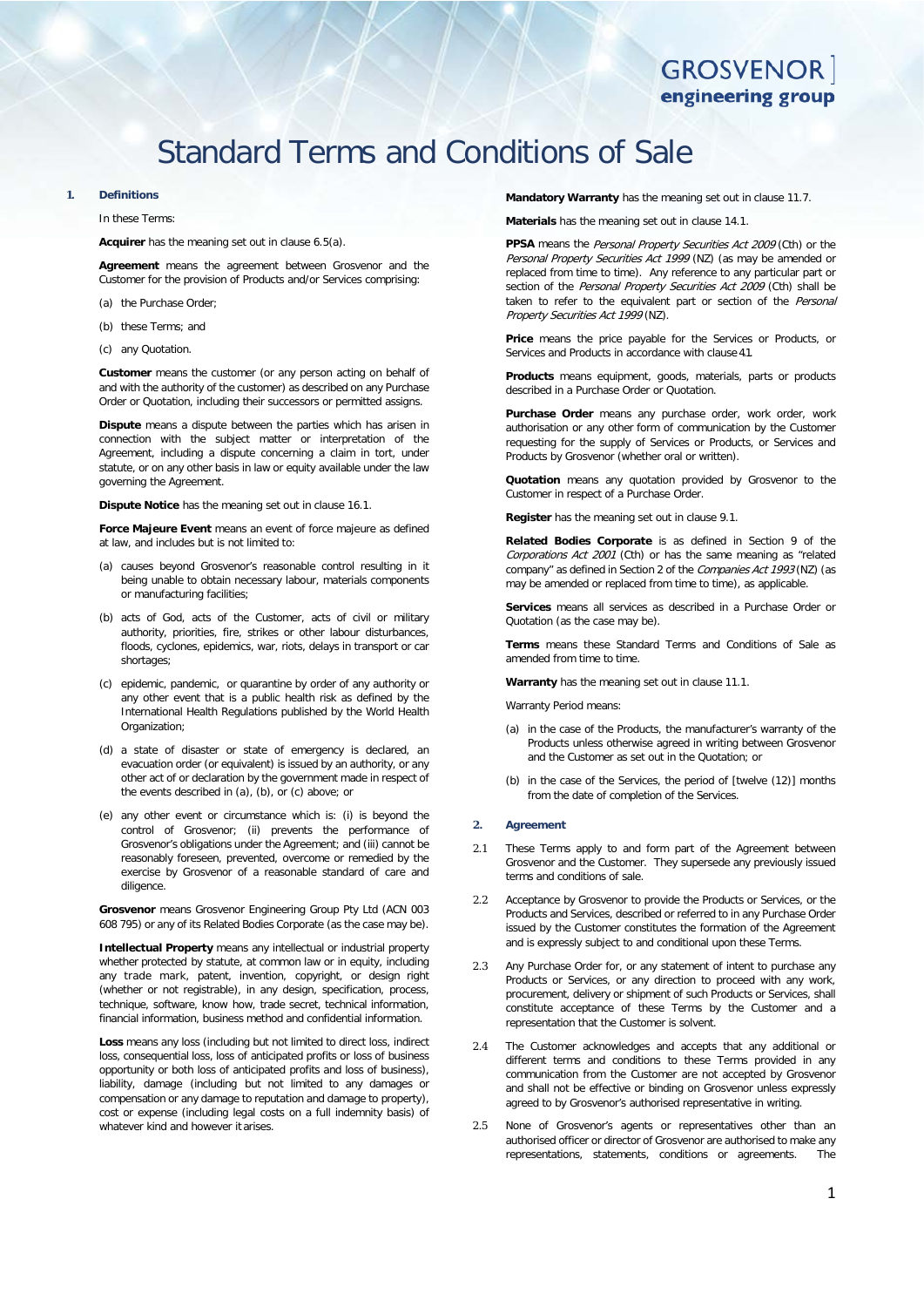# Standard Terms and Conditions of Sale

#### **1. Definitions**

In these Terms:

#### **Acquirer** has the meaning set out in clause [6.5\(a\).](#page-1-0)

**Agreement** means the agreement between Grosvenor and the Customer for the provision of Products and/or Services comprising:

- (a) the Purchase Order;
- (b) these Terms; and
- (c) any Quotation.

**Customer** means the customer (or any person acting on behalf of and with the authority of the customer) as described on any Purchase Order or Quotation, including their successors or permitted assigns.

**Dispute** means a dispute between the parties which has arisen in connection with the subject matter or interpretation of the Agreement, including a dispute concerning a claim in tort, under statute, or on any other basis in law or equity available under the law governing the Agreement.

**Dispute Notice** has the meaning set out in clause [16.1.](#page-4-0)

**Force Majeure Event** means an event of force majeure as defined at law, and includes but is not limited to:

- (a) causes beyond Grosvenor's reasonable control resulting in it being unable to obtain necessary labour, materials components or manufacturing facilities;
- (b) acts of God, acts of the Customer, acts of civil or military authority, priorities, fire, strikes or other labour disturbances, floods, cyclones, epidemics, war, riots, delays in transport or car shortages;
- (c) epidemic, pandemic, or quarantine by order of any authority or any other event that is a public health risk as defined by the International Health Regulations published by the World Health Organization;
- (d) a state of disaster or state of emergency is declared, an evacuation order (or equivalent) is issued by an authority, or any other act of or declaration by the government made in respect of the events described in (a), (b), or (c) above; or
- (e) any other event or circumstance which is: (i) is beyond the control of Grosvenor; (ii) prevents the performance of Grosvenor's obligations under the Agreement; and (iii) cannot be reasonably foreseen, prevented, overcome or remedied by the exercise by Grosvenor of a reasonable standard of care and diligence.

**Grosvenor** means Grosvenor Engineering Group Pty Ltd (ACN 003 608 795) or any of its Related Bodies Corporate (as the case may be).

**Intellectual Property** means any intellectual or industrial property whether protected by statute, at common law or in equity, including any trade mark, patent, invention, copyright, or design right (whether or not registrable), in any design, specification, process, technique, software, know how, trade secret, technical information, financial information, business method and confidential information.

**Loss** means any loss (including but not limited to direct loss, indirect loss, consequential loss, loss of anticipated profits or loss of business opportunity or both loss of anticipated profits and loss of business), liability, damage (including but not limited to any damages or compensation or any damage to reputation and damage to property), cost or expense (including legal costs on a full indemnity basis) of whatever kind and however it arises.

**Mandatory Warranty** has the meaning set out in claus[e 11.7.](#page-3-0)

**Materials** has the meaning set out in clause [14.1.](#page-4-1)

PPSA means the *Personal Property Securities Act 2009* (Cth) or the Personal Property Securities Act 1999 (NZ) (as may be amended or replaced from time to time). Any reference to any particular part or section of the Personal Property Securities Act 2009 (Cth) shall be taken to refer to the equivalent part or section of the Personal Property Securities Act 1999 (NZ).

**Price** means the price payable for the Services or Products, or Services and Products in accordance with clause [4.1.](#page-1-1)

**Products** means equipment, goods, materials, parts or products described in a Purchase Order or Quotation.

**Purchase Order** means any purchase order, work order, work authorisation or any other form of communication by the Customer requesting for the supply of Services or Products, or Services and Products by Grosvenor (whether oral or written).

**Quotation** means any quotation provided by Grosvenor to the Customer in respect of a Purchase Order.

**Register** has the meaning set out in clause [9.1.](#page-2-0)

**Related Bodies Corporate** is as defined in Section 9 of the Corporations Act 2001 (Cth) or has the same meaning as "related company" as defined in Section 2 of the Companies Act 1993 (NZ) (as may be amended or replaced from time to time), as applicable.

**Services** means all services as described in a Purchase Order or Quotation (as the case may be).

**Terms** means these Standard Terms and Conditions of Sale as amended from time to time.

**Warranty** has the meaning set out in claus[e 11.1.](#page-2-1)

Warranty Period means:

- (a) in the case of the Products, the manufacturer's warranty of the Products unless otherwise agreed in writing between Grosvenor and the Customer as set out in the Quotation; or
- (b) in the case of the Services, the period of [twelve (12)] months from the date of completion of the Services.

#### **2. Agreement**

- 2.1 These Terms apply to and form part of the Agreement between Grosvenor and the Customer. They supersede any previously issued terms and conditions of sale.
- 2.2 Acceptance by Grosvenor to provide the Products or Services, or the Products and Services, described or referred to in any Purchase Order issued by the Customer constitutes the formation of the Agreement and is expressly subject to and conditional upon these Terms.
- 2.3 Any Purchase Order for, or any statement of intent to purchase any Products or Services, or any direction to proceed with any work, procurement, delivery or shipment of such Products or Services, shall constitute acceptance of these Terms by the Customer and a representation that the Customer is solvent.
- 2.4 The Customer acknowledges and accepts that any additional or different terms and conditions to these Terms provided in any communication from the Customer are not accepted by Grosvenor and shall not be effective or binding on Grosvenor unless expressly agreed to by Grosvenor's authorised representative in writing.
- 2.5 None of Grosvenor's agents or representatives other than an authorised officer or director of Grosvenor are authorised to make any representations, statements, conditions or agreements.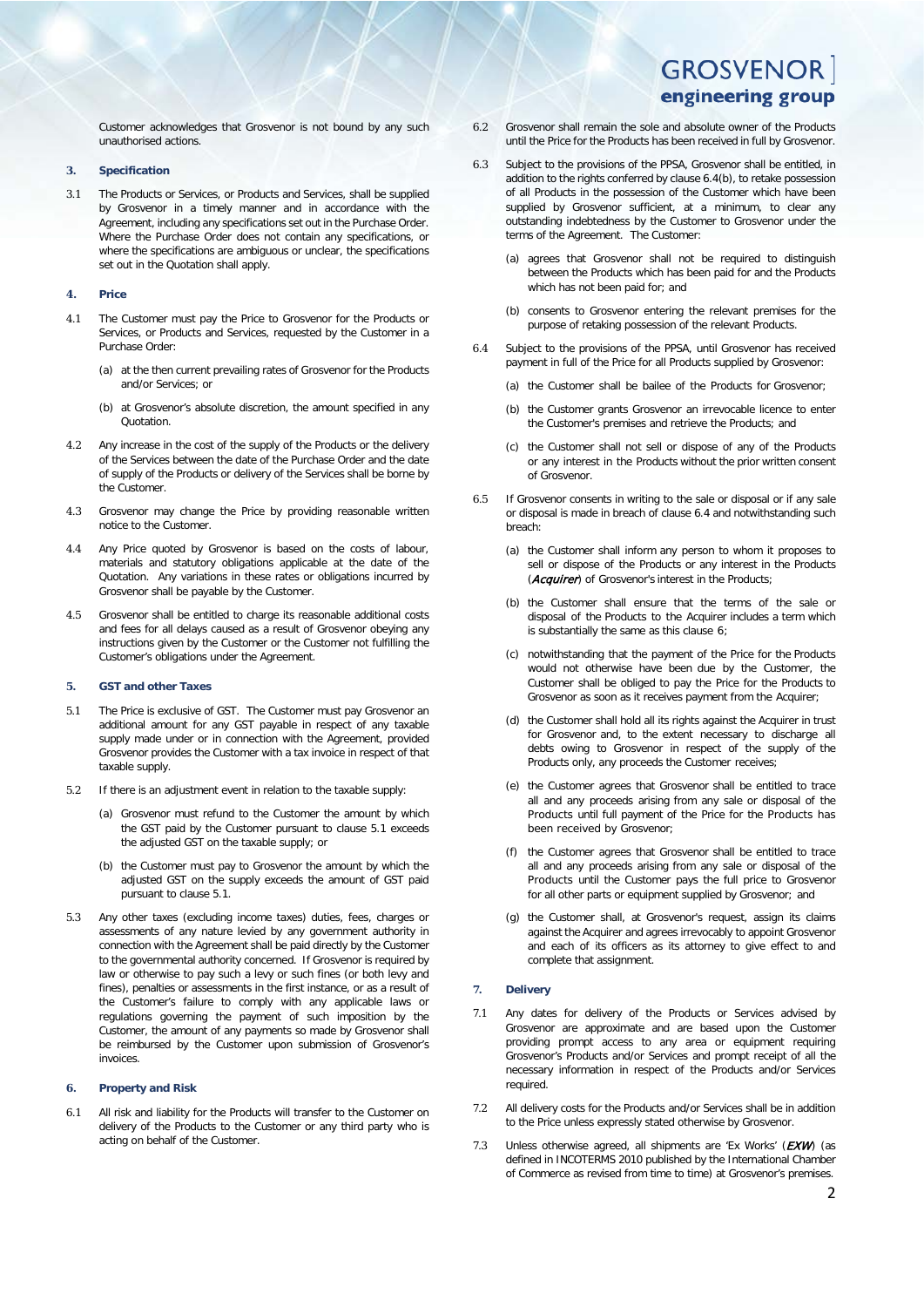Customer acknowledges that Grosvenor is not bound by any such unauthorised actions.

#### **3. Specification**

3.1 The Products or Services, or Products and Services, shall be supplied by Grosvenor in a timely manner and in accordance with the Agreement, including any specifications set out in the Purchase Order. Where the Purchase Order does not contain any specifications, or where the specifications are ambiguous or unclear, the specifications set out in the Quotation shall apply.

### **4. Price**

- <span id="page-1-1"></span>4.1 The Customer must pay the Price to Grosvenor for the Products or Services, or Products and Services, requested by the Customer in a Purchase Order:
	- (a) at the then current prevailing rates of Grosvenor for the Products and/or Services; or
	- (b) at Grosvenor's absolute discretion, the amount specified in any Quotation.
- 4.2 Any increase in the cost of the supply of the Products or the delivery of the Services between the date of the Purchase Order and the date of supply of the Products or delivery of the Services shall be borne by the Customer.
- 4.3 Grosvenor may change the Price by providing reasonable written notice to the Customer.
- 4.4 Any Price quoted by Grosvenor is based on the costs of labour, materials and statutory obligations applicable at the date of the Quotation. Any variations in these rates or obligations incurred by Grosvenor shall be payable by the Customer.
- 4.5 Grosvenor shall be entitled to charge its reasonable additional costs and fees for all delays caused as a result of Grosvenor obeying any instructions given by the Customer or the Customer not fulfilling the Customer's obligations under the Agreement.

#### **5. GST and other Taxes**

- <span id="page-1-2"></span>5.1 The Price is exclusive of GST. The Customer must pay Grosvenor an additional amount for any GST payable in respect of any taxable supply made under or in connection with the Agreement, provided Grosvenor provides the Customer with a tax invoice in respect of that taxable supply.
- 5.2 If there is an adjustment event in relation to the taxable supply:
	- (a) Grosvenor must refund to the Customer the amount by which the GST paid by the Customer pursuant to clause [5.1](#page-1-2) exceeds the adjusted GST on the taxable supply; or
	- (b) the Customer must pay to Grosvenor the amount by which the adjusted GST on the supply exceeds the amount of GST paid pursuant to clause [5.1.](#page-1-2)
- 5.3 Any other taxes (excluding income taxes) duties, fees, charges or assessments of any nature levied by any government authority in connection with the Agreement shall be paid directly by the Customer to the governmental authority concerned. If Grosvenor is required by law or otherwise to pay such a levy or such fines (or both levy and fines), penalties or assessments in the first instance, or as a result of the Customer's failure to comply with any applicable laws or regulations governing the payment of such imposition by the Customer, the amount of any payments so made by Grosvenor shall be reimbursed by the Customer upon submission of Grosvenor's invoices.

#### <span id="page-1-5"></span>**6. Property and Risk**

6.1 All risk and liability for the Products will transfer to the Customer on delivery of the Products to the Customer or any third party who is acting on behalf of the Customer.

- 6.2 Grosvenor shall remain the sole and absolute owner of the Products until the Price for the Products has been received in full by Grosvenor.
- 6.3 Subject to the provisions of the PPSA, Grosvenor shall be entitled, in addition to the rights conferred by clause [6.4\(b\),](#page-1-3) to retake possession of all Products in the possession of the Customer which have been supplied by Grosvenor sufficient, at a minimum, to clear any outstanding indebtedness by the Customer to Grosvenor under the terms of the Agreement. The Customer:
	- (a) agrees that Grosvenor shall not be required to distinguish between the Products which has been paid for and the Products which has not been paid for; and
	- (b) consents to Grosvenor entering the relevant premises for the purpose of retaking possession of the relevant Products.
- <span id="page-1-4"></span><span id="page-1-3"></span>6.4 Subject to the provisions of the PPSA, until Grosvenor has received payment in full of the Price for all Products supplied by Grosvenor:
	- (a) the Customer shall be bailee of the Products for Grosvenor;
	- (b) the Customer grants Grosvenor an irrevocable licence to enter the Customer's premises and retrieve the Products; and
	- (c) the Customer shall not sell or dispose of any of the Products or any interest in the Products without the prior written consent of Grosvenor.
- <span id="page-1-0"></span>6.5 If Grosvenor consents in writing to the sale or disposal or if any sale or disposal is made in breach of claus[e 6.4](#page-1-4) and notwithstanding such breach:
	- (a) the Customer shall inform any person to whom it proposes to sell or dispose of the Products or any interest in the Products (Acquirer) of Grosvenor's interest in the Products;
	- (b) the Customer shall ensure that the terms of the sale or disposal of the Products to the Acquirer includes a term which is substantially the same as this clause [6;](#page-1-5)
	- (c) notwithstanding that the payment of the Price for the Products would not otherwise have been due by the Customer, the Customer shall be obliged to pay the Price for the Products to Grosvenor as soon as it receives payment from the Acquirer;
	- (d) the Customer shall hold all its rights against the Acquirer in trust for Grosvenor and, to the extent necessary to discharge all debts owing to Grosvenor in respect of the supply of the Products only, any proceeds the Customer receives;
	- (e) the Customer agrees that Grosvenor shall be entitled to trace all and any proceeds arising from any sale or disposal of the Products until full payment of the Price for the Products has been received by Grosvenor;
	- (f) the Customer agrees that Grosvenor shall be entitled to trace all and any proceeds arising from any sale or disposal of the Products until the Customer pays the full price to Grosvenor for all other parts or equipment supplied by Grosvenor; and
	- (g) the Customer shall, at Grosvenor's request, assign its claims against the Acquirer and agrees irrevocably to appoint Grosvenor and each of its officers as its attorney to give effect to and complete that assignment.

#### <span id="page-1-6"></span>**7. Delivery**

- 7.1 Any dates for delivery of the Products or Services advised by Grosvenor are approximate and are based upon the Customer providing prompt access to any area or equipment requiring Grosvenor's Products and/or Services and prompt receipt of all the necessary information in respect of the Products and/or Services required.
- 7.2 All delivery costs for the Products and/or Services shall be in addition to the Price unless expressly stated otherwise by Grosvenor.
- 7.3 Unless otherwise agreed, all shipments are 'Ex Works'  $(EXW)$  (as defined in INCOTERMS 2010 published by the International Chamber of Commerce as revised from time to time) at Grosvenor's premises.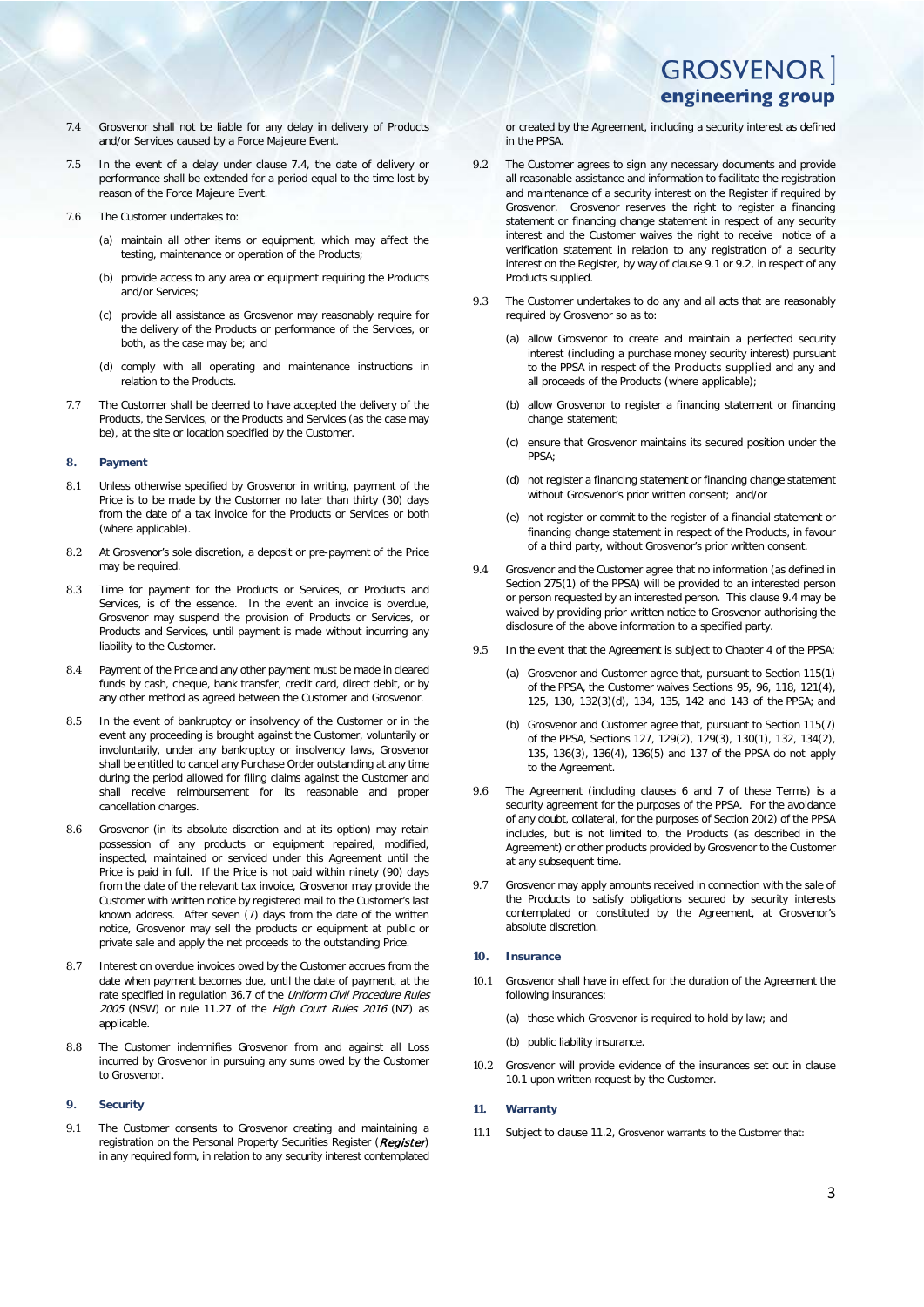- <span id="page-2-2"></span>7.4 Grosvenor shall not be liable for any delay in delivery of Products and/or Services caused by a Force Majeure Event.
- 7.5 In the event of a delay under clause [7.4,](#page-2-2) the date of delivery or performance shall be extended for a period equal to the time lost by reason of the Force Majeure Event.
- 7.6 The Customer undertakes to:
	- (a) maintain all other items or equipment, which may affect the testing, maintenance or operation of the Products;
	- (b) provide access to any area or equipment requiring the Products and/or Services;
	- (c) provide all assistance as Grosvenor may reasonably require for the delivery of the Products or performance of the Services, or both, as the case may be; and
	- (d) comply with all operating and maintenance instructions in relation to the Products.
- 7.7 The Customer shall be deemed to have accepted the delivery of the Products, the Services, or the Products and Services (as the case may be), at the site or location specified by the Customer.

#### **8. Payment**

- 8.1 Unless otherwise specified by Grosvenor in writing, payment of the Price is to be made by the Customer no later than thirty (30) days from the date of a tax invoice for the Products or Services or both (where applicable).
- 8.2 At Grosvenor's sole discretion, a deposit or pre-payment of the Price may be required.
- 8.3 Time for payment for the Products or Services, or Products and Services, is of the essence. In the event an invoice is overdue, Grosvenor may suspend the provision of Products or Services, or Products and Services, until payment is made without incurring any liability to the Customer.
- 8.4 Payment of the Price and any other payment must be made in cleared funds by cash, cheque, bank transfer, credit card, direct debit, or by any other method as agreed between the Customer and Grosvenor.
- 8.5 In the event of bankruptcy or insolvency of the Customer or in the event any proceeding is brought against the Customer, voluntarily or involuntarily, under any bankruptcy or insolvency laws, Grosvenor shall be entitled to cancel any Purchase Order outstanding at any time during the period allowed for filing claims against the Customer and shall receive reimbursement for its reasonable and proper cancellation charges.
- 8.6 Grosvenor (in its absolute discretion and at its option) may retain possession of any products or equipment repaired, modified, inspected, maintained or serviced under this Agreement until the Price is paid in full. If the Price is not paid within ninety (90) days from the date of the relevant tax invoice, Grosvenor may provide the Customer with written notice by registered mail to the Customer's last known address. After seven (7) days from the date of the written notice, Grosvenor may sell the products or equipment at public or private sale and apply the net proceeds to the outstanding Price.
- Interest on overdue invoices owed by the Customer accrues from the date when payment becomes due, until the date of payment, at the rate specified in regulation 36.7 of the Uniform Civil Procedure Rules 2005 (NSW) or rule 11.27 of the High Court Rules 2016 (NZ) as applicable.
- 8.8 The Customer indemnifies Grosvenor from and against all Loss incurred by Grosvenor in pursuing any sums owed by the Customer to Grosvenor.

#### **9. Security**

<span id="page-2-0"></span>9.1 The Customer consents to Grosvenor creating and maintaining a registration on the Personal Property Securities Register (Register) in any required form, in relation to any security interest contemplated

or created by the Agreement, including a security interest as defined in the PPSA.

- <span id="page-2-3"></span>9.2 The Customer agrees to sign any necessary documents and provide all reasonable assistance and information to facilitate the registration and maintenance of a security interest on the Register if required by Grosvenor. Grosvenor reserves the right to register a financing statement or financing change statement in respect of any security interest and the Customer waives the right to receive notice of a verification statement in relation to any registration of a security interest on the Register, by way of claus[e 9.1](#page-2-0) or [9.2,](#page-2-3) in respect of any Products supplied.
- 9.3 The Customer undertakes to do any and all acts that are reasonably required by Grosvenor so as to:
	- (a) allow Grosvenor to create and maintain a perfected security interest (including a purchase money security interest) pursuant to the PPSA in respect of the Products supplied and any and all proceeds of the Products (where applicable);
	- (b) allow Grosvenor to register a financing statement or financing change statement;
	- (c) ensure that Grosvenor maintains its secured position under the PPSA;
	- (d) not register a financing statement or financing change statement without Grosvenor's prior written consent; and/or
	- (e) not register or commit to the register of a financial statement or financing change statement in respect of the Products, in favour of a third party, without Grosvenor's prior written consent.
- <span id="page-2-4"></span>9.4 Grosvenor and the Customer agree that no information (as defined in Section 275(1) of the PPSA) will be provided to an interested person or person requested by an interested person. This claus[e 9.4](#page-2-4) may be waived by providing prior written notice to Grosvenor authorising the disclosure of the above information to a specified party.
- 9.5 In the event that the Agreement is subject to Chapter 4 of the PPSA:
	- (a) Grosvenor and Customer agree that, pursuant to Section 115(1) of the PPSA, the Customer waives Sections 95, 96, 118, 121(4), 125, 130, 132(3)(d), 134, 135, 142 and 143 of the PPSA; and
	- (b) Grosvenor and Customer agree that, pursuant to Section 115(7) of the PPSA, Sections 127, 129(2), 129(3), 130(1), 132, 134(2), 135, 136(3), 136(4), 136(5) and 137 of the PPSA do not apply to the Agreement.
- 9.6 The Agreement (including clauses [6](#page-1-5) and [7](#page-1-6) of these Terms) is a security agreement for the purposes of the PPSA. For the avoidance of any doubt, collateral, for the purposes of Section 20(2) of the PPSA includes, but is not limited to, the Products (as described in the Agreement) or other products provided by Grosvenor to the Customer at any subsequent time.
- 9.7 Grosvenor may apply amounts received in connection with the sale of the Products to satisfy obligations secured by security interests contemplated or constituted by the Agreement, at Grosvenor's absolute discretion.

#### **10. Insurance**

- <span id="page-2-5"></span>10.1 Grosvenor shall have in effect for the duration of the Agreement the following insurances:
	- (a) those which Grosvenor is required to hold by law; and
	- (b) public liability insurance.
- 10.2 Grosvenor will provide evidence of the insurances set out in clause [10.1](#page-2-5) upon written request by the Customer.

#### <span id="page-2-6"></span>**11. Warranty**

<span id="page-2-1"></span>11.1 Subject to clause [11.2,](#page-3-1) Grosvenor warrants to the Customer that: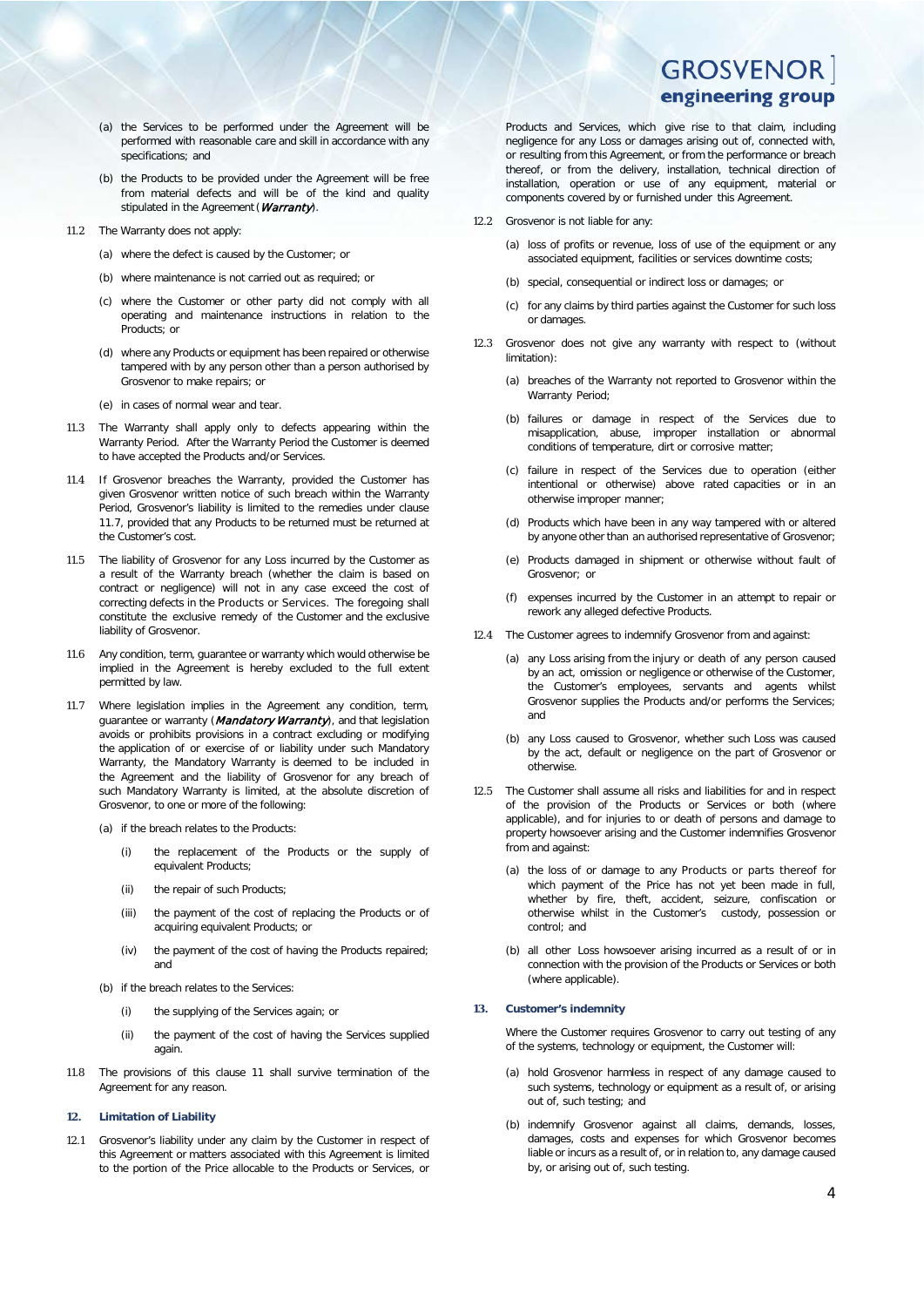- (a) the Services to be performed under the Agreement will be performed with reasonable care and skill in accordance with any specifications: and
- (b) the Products to be provided under the Agreement will be free from material defects and will be of the kind and quality stipulated in the Agreement (Warranty).
- <span id="page-3-1"></span>11.2 The Warranty does not apply:
	- (a) where the defect is caused by the Customer; or
	- (b) where maintenance is not carried out as required; or
	- (c) where the Customer or other party did not comply with all operating and maintenance instructions in relation to the Products; or
	- (d) where any Products or equipment has been repaired or otherwise tampered with by any person other than a person authorised by Grosvenor to make repairs; or
	- (e) in cases of normal wear and tear.
- 11.3 The Warranty shall apply only to defects appearing within the Warranty Period. After the Warranty Period the Customer is deemed to have accepted the Products and/or Services.
- 11.4 If Grosvenor breaches the Warranty, provided the Customer has given Grosvenor written notice of such breach within the Warranty Period, Grosvenor's liability is limited to the remedies under clause [11.7,](#page-3-0) provided that any Products to be returned must be returned at the Customer's cost.
- 11.5 The liability of Grosvenor for any Loss incurred by the Customer as a result of the Warranty breach (whether the claim is based on contract or negligence) will not in any case exceed the cost of correcting defects in the Products or Services. The foregoing shall constitute the exclusive remedy of the Customer and the exclusive liability of Grosvenor.
- 11.6 Any condition, term, guarantee or warranty which would otherwise be implied in the Agreement is hereby excluded to the full extent permitted by law.
- <span id="page-3-0"></span>11.7 Where legislation implies in the Agreement any condition, term, guarantee or warranty (Mandatory Warranty), and that legislation avoids or prohibits provisions in a contract excluding or modifying the application of or exercise of or liability under such Mandatory Warranty, the Mandatory Warranty is deemed to be included in the Agreement and the liability of Grosvenor for any breach of such Mandatory Warranty is limited, at the absolute discretion of Grosvenor, to one or more of the following:
	- (a) if the breach relates to the Products:
		- (i) the replacement of the Products or the supply of equivalent Products;
		- (ii) the repair of such Products;
		- (iii) the payment of the cost of replacing the Products or of acquiring equivalent Products; or
		- (iv) the payment of the cost of having the Products repaired; and
	- (b) if the breach relates to the Services:
		- (i) the supplying of the Services again; or
		- (ii) the payment of the cost of having the Services supplied again.
- 11.8 The provisions of this clause [11](#page-2-6) shall survive termination of the Agreement for any reason.
- **12. Limitation of Liability**
- 12.1 Grosvenor's liability under any claim by the Customer in respect of this Agreement or matters associated with this Agreement is limited to the portion of the Price allocable to the Products or Services, or

Products and Services, which give rise to that claim, including negligence for any Loss or damages arising out of, connected with, or resulting from this Agreement, or from the performance or breach thereof, or from the delivery, installation, technical direction of installation, operation or use of any equipment, material or components covered by or furnished under this Agreement.

- 12.2 Grosvenor is not liable for any:
	- (a) loss of profits or revenue, loss of use of the equipment or any associated equipment, facilities or services downtime costs;
	- (b) special, consequential or indirect loss or damages; or
	- (c) for any claims by third parties against the Customer for such loss or damages.
- 12.3 Grosvenor does not give any warranty with respect to (without limitation):
	- (a) breaches of the Warranty not reported to Grosvenor within the Warranty Period;
	- (b) failures or damage in respect of the Services due to misapplication, abuse, improper installation or abnormal conditions of temperature, dirt or corrosive matter;
	- (c) failure in respect of the Services due to operation (either intentional or otherwise) above rated capacities or in an otherwise improper manner;
	- (d) Products which have been in any way tampered with or altered by anyone other than an authorised representative of Grosvenor;
	- (e) Products damaged in shipment or otherwise without fault of Grosvenor: or
	- (f) expenses incurred by the Customer in an attempt to repair or rework any alleged defective Products.
- 12.4 The Customer agrees to indemnify Grosvenor from and against:
	- (a) any Loss arising from the injury or death of any person caused by an act, omission or negligence or otherwise of the Customer, the Customer's employees, servants and agents whilst Grosvenor supplies the Products and/or performs the Services; and
	- (b) any Loss caused to Grosvenor, whether such Loss was caused by the act, default or negligence on the part of Grosvenor or otherwise.
- 12.5 The Customer shall assume all risks and liabilities for and in respect of the provision of the Products or Services or both (where applicable), and for injuries to or death of persons and damage to property howsoever arising and the Customer indemnifies Grosvenor from and against:
	- (a) the loss of or damage to any Products or parts thereof for which payment of the Price has not yet been made in full, whether by fire, theft, accident, seizure, confiscation or otherwise whilst in the Customer's custody, possession or control; and
	- (b) all other Loss howsoever arising incurred as a result of or in connection with the provision of the Products or Services or both (where applicable).

#### **13. Customer's indemnity**

Where the Customer requires Grosvenor to carry out testing of any of the systems, technology or equipment, the Customer will:

- (a) hold Grosvenor harmless in respect of any damage caused to such systems, technology or equipment as a result of, or arising out of, such testing; and
- (b) indemnify Grosvenor against all claims, demands, losses, damages, costs and expenses for which Grosvenor becomes liable or incurs as a result of, or in relation to, any damage caused by, or arising out of, such testing.